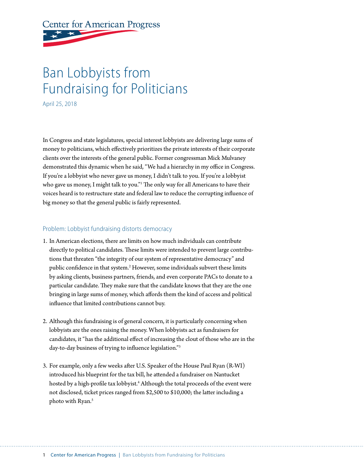# **Center for American Progress**

## Ban Lobbyists from Fundraising for Politicians

April 25, 2018

In Congress and state legislatures, special interest lobbyists are delivering large sums of money to politicians, which effectively prioritizes the private interests of their corporate clients over the interests of the general public. Former congressman Mick Mulvaney demonstrated this dynamic when he said, "We had a hierarchy in my office in Congress. If you're a lobbyist who never gave us money, I didn't talk to you. If you're a lobbyist who gave us money, I might talk to you."<sup>1</sup> The only way for all Americans to have their voices heard is to restructure state and federal law to reduce the corrupting influence of big money so that the general public is fairly represented.

#### Problem: Lobbyist fundraising distorts democracy

- 1. In American elections, there are limits on how much individuals can contribute directly to political candidates. These limits were intended to prevent large contributions that threaten "the integrity of our system of representative democracy" and public confidence in that system.<sup>2</sup> However, some individuals subvert these limits by asking clients, business partners, friends, and even corporate PACs to donate to a particular candidate. They make sure that the candidate knows that they are the one bringing in large sums of money, which affords them the kind of access and political influence that limited contributions cannot buy.
- 2. Although this fundraising is of general concern, it is particularly concerning when lobbyists are the ones raising the money. When lobbyists act as fundraisers for candidates, it "has the additional effect of increasing the clout of those who are in the day-to-day business of trying to influence legislation."3
- 3. For example, only a few weeks after U.S. Speaker of the House Paul Ryan (R-WI) introduced his blueprint for the tax bill, he attended a fundraiser on Nantucket hosted by a high-profile tax lobbyist.<sup>4</sup> Although the total proceeds of the event were not disclosed, ticket prices ranged from \$2,500 to \$10,000; the latter including a photo with Ryan.<sup>5</sup>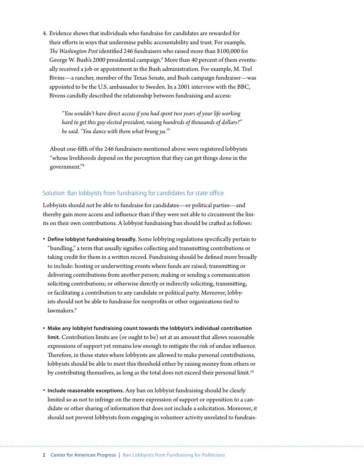4. Evidence shows that individuals who fundraise for candidates are rewarded for their efforts in ways that undermine public accountability and trust. For example, *The Washington Post* identified 246 fundraisers who raised more than \$100,000 for George W. Bush's 2000 presidential campaign.<sup>6</sup> More than 40 percent of them eventually received a job or appointment in the Bush administration. For example, M. Teel Bivins—a rancher, member of the Texas Senate, and Bush campaign fundraiser—was appointed to be the U.S. ambassador to Sweden. In a 2001 interview with the BBC, Bivens candidly described the relationship between fundraising and access:

*"You wouldn't have direct access if you had spent two years of your life working hard to get this guy elected president, raising hundreds of thousands of dollars?" he said. "You dance with them what brung ya."*<sup>7</sup>

About one-fifth of the 246 fundraisers mentioned above were registered lobbyists "whose livelihoods depend on the perception that they can get things done in the government."8

#### Solution: Ban lobbyists from fundraising for candidates for state office

Lobbyists should not be able to fundraise for candidates—or political parties—and thereby gain more access and influence than if they were not able to circumvent the limits on their own contributions. A lobbyist fundraising ban should be crafted as follows:

- **Define lobbyist fundraising broadly.** Some lobbying regulations specifically pertain to "bundling," a term that usually signifies collecting and transmitting contributions or taking credit for them in a written record. Fundraising should be defined more broadly to include: hosting or underwriting events where funds are raised; transmitting or delivering contributions from another person; making or sending a communication soliciting contributions; or otherwise directly or indirectly soliciting, transmitting, or facilitating a contribution to any candidate or political party. Moreover, lobbyists should not be able to fundraise for nonprofits or other organizations tied to lawmakers.<sup>9</sup>
- **Make any lobbyist fundraising count towards the lobbyist's individual contribution limit.** Contribution limits are (or ought to be) set at an amount that allows reasonable expressions of support yet remains low enough to mitigate the risk of undue influence. Therefore, in those states where lobbyists are allowed to make personal contributions, lobbyists should be able to meet this threshold either by raising money from others or by contributing themselves, as long as the total does not exceed their personal limit.<sup>10</sup>
- **Include reasonable exceptions.** Any ban on lobbyist fundraising should be clearly limited so as not to infringe on the mere expression of support or opposition to a candidate or other sharing of information that does not include a solicitation. Moreover, it should not prevent lobbyists from engaging in volunteer activity unrelated to fundrais-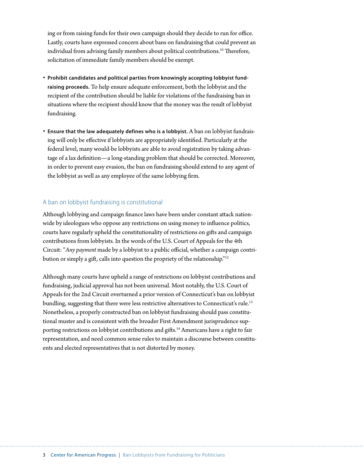ing or from raising funds for their own campaign should they decide to run for office. Lastly, courts have expressed concern about bans on fundraising that could prevent an individual from advising family members about political contributions.<sup>10</sup> Therefore, solicitation of immediate family members should be exempt.

- **Prohibit candidates and political parties from knowingly accepting lobbyist fundraising proceeds.** To help ensure adequate enforcement, both the lobbyist and the recipient of the contribution should be liable for violations of the fundraising ban in situations where the recipient should know that the money was the result of lobbyist fundraising.
- **Ensure that the law adequately defines who is a lobbyist.** A ban on lobbyist fundraising will only be effective if lobbyists are appropriately identified. Particularly at the federal level, many would-be lobbyists are able to avoid registration by taking advantage of a lax definition—a long-standing problem that should be corrected. Moreover, in order to prevent easy evasion, the ban on fundraising should extend to any agent of the lobbyist as well as any employee of the same lobbying firm.

#### A ban on lobbyist fundraising is constitutional

Although lobbying and campaign finance laws have been under constant attack nationwide by ideologues who oppose any restrictions on using money to influence politics, courts have regularly upheld the constitutionality of restrictions on gifts and campaign contributions from lobbyists. In the words of the U.S. Court of Appeals for the 4th Circuit: "*Any payment* made by a lobbyist to a public official, whether a campaign contribution or simply a gift, calls into question the propriety of the relationship."12

Although many courts have upheld a range of restrictions on lobbyist contributions and fundraising, judicial approval has not been universal. Most notably, the U.S. Court of Appeals for the 2nd Circuit overturned a prior version of Connecticut's ban on lobbyist bundling, suggesting that there were less restrictive alternatives to Connecticut's rule.<sup>13</sup> Nonetheless, a properly constructed ban on lobbyist fundraising should pass constitutional muster and is consistent with the broader First Amendment jurisprudence supporting restrictions on lobbyist contributions and gifts.<sup>14</sup> Americans have a right to fair representation, and need common sense rules to maintain a discourse between constituents and elected representatives that is not distorted by money.